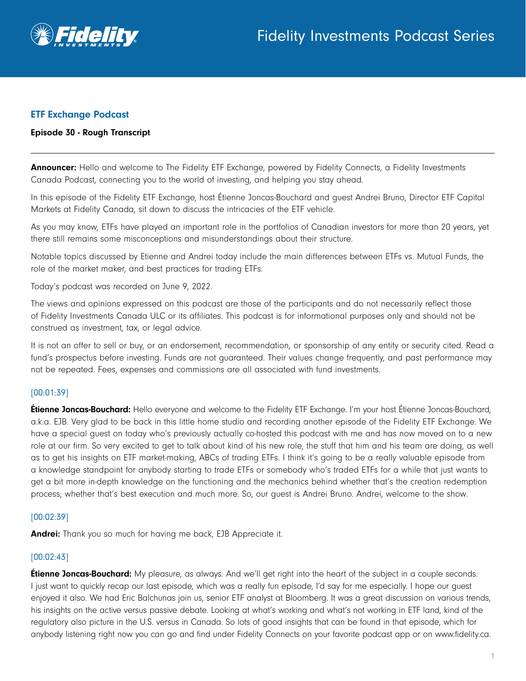

# ETF Exchange Podcast

#### Episode 30 - Rough Transcript

**Announcer:** Hello and welcome to The Fidelity ETF Exchange, powered by Fidelity Connects, a Fidelity Investments Canada Podcast, connecting you to the world of investing, and helping you stay ahead.

In this episode of the Fidelity ETF Exchange, host Étienne Joncas-Bouchard and guest Andrei Bruno, Director ETF Capital Markets at Fidelity Canada, sit down to discuss the intricacies of the ETF vehicle.

As you may know, ETFs have played an important role in the portfolios of Canadian investors for more than 20 years, yet there still remains some misconceptions and misunderstandings about their structure.

Notable topics discussed by Etienne and Andrei today include the main differences between ETFs vs. Mutual Funds, the role of the market maker, and best practices for trading ETFs.

Today's podcast was recorded on June 9, 2022.

The views and opinions expressed on this podcast are those of the participants and do not necessarily reflect those of Fidelity Investments Canada ULC or its affiliates. This podcast is for informational purposes only and should not be construed as investment, tax, or legal advice.

It is not an offer to sell or buy, or an endorsement, recommendation, or sponsorship of any entity or security cited. Read a fund's prospectus before investing. Funds are not guaranteed. Their values change frequently, and past performance may not be repeated. Fees, expenses and commissions are all associated with fund investments.

## [00:01:39]

Étienne Joncas-Bouchard: Hello everyone and welcome to the Fidelity ETF Exchange. I'm your host Étienne Joncas-Bouchard, a.k.a. EJB. Very glad to be back in this little home studio and recording another episode of the Fidelity ETF Exchange. We have a special guest on today who's previously actually co-hosted this podcast with me and has now moved on to a new role at our firm. So very excited to get to talk about kind of his new role, the stuff that him and his team are doing, as well as to get his insights on ETF market-making, ABCs of trading ETFs. I think it's going to be a really valuable episode from a knowledge standpoint for anybody starting to trade ETFs or somebody who's traded ETFs for a while that just wants to get a bit more in-depth knowledge on the functioning and the mechanics behind whether that's the creation redemption process, whether that's best execution and much more. So, our guest is Andrei Bruno. Andrei, welcome to the show.

#### [00:02:39]

Andrei: Thank you so much for having me back, EJB Appreciate it.

## [00:02:43]

**Etienne Joncas-Bouchard:** My pleasure, as always. And we'll get right into the heart of the subject in a couple seconds. I just want to quickly recap our last episode, which was a really fun episode, I'd say for me especially. I hope our guest enjoyed it also. We had Eric Balchunas join us, senior ETF analyst at Bloomberg. It was a great discussion on various trends, his insights on the active versus passive debate. Looking at what's working and what's not working in ETF land, kind of the regulatory also picture in the U.S. versus in Canada. So lots of good insights that can be found in that episode, which for anybody listening right now you can go and find under Fidelity Connects on your favorite podcast app or on www.fidelity.ca.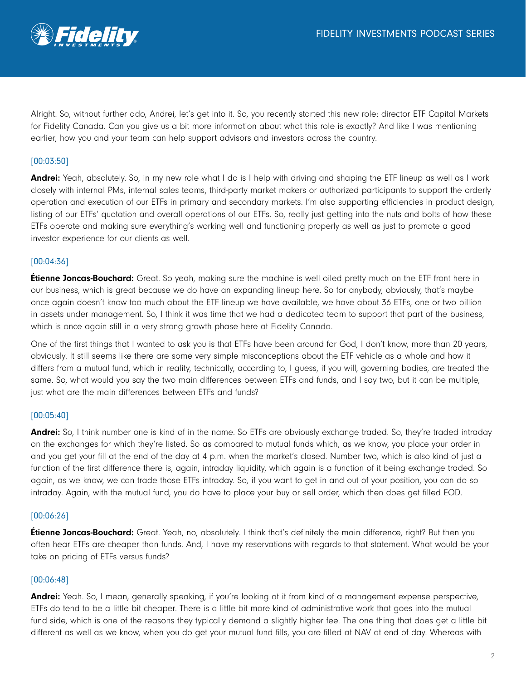

Alright. So, without further ado, Andrei, let's get into it. So, you recently started this new role: director ETF Capital Markets for Fidelity Canada. Can you give us a bit more information about what this role is exactly? And like I was mentioning earlier, how you and your team can help support advisors and investors across the country.

# [00:03:50]

**Andrei:** Yeah, absolutely. So, in my new role what I do is I help with driving and shaping the ETF lineup as well as I work closely with internal PMs, internal sales teams, third-party market makers or authorized participants to support the orderly operation and execution of our ETFs in primary and secondary markets. I'm also supporting efficiencies in product design, listing of our ETFs' quotation and overall operations of our ETFs. So, really just getting into the nuts and bolts of how these ETFs operate and making sure everything's working well and functioning properly as well as just to promote a good investor experience for our clients as well.

#### [00:04:36]

**Étienne Joncas-Bouchard:** Great. So yeah, making sure the machine is well oiled pretty much on the ETF front here in our business, which is great because we do have an expanding lineup here. So for anybody, obviously, that's maybe once again doesn't know too much about the ETF lineup we have available, we have about 36 ETFs, one or two billion in assets under management. So, I think it was time that we had a dedicated team to support that part of the business, which is once again still in a very strong growth phase here at Fidelity Canada.

One of the first things that I wanted to ask you is that ETFs have been around for God, I don't know, more than 20 years, obviously. It still seems like there are some very simple misconceptions about the ETF vehicle as a whole and how it differs from a mutual fund, which in reality, technically, according to, I guess, if you will, governing bodies, are treated the same. So, what would you say the two main differences between ETFs and funds, and I say two, but it can be multiple, just what are the main differences between ETFs and funds?

## [00:05:40]

Andrei: So, I think number one is kind of in the name. So ETFs are obviously exchange traded. So, they're traded intraday on the exchanges for which they're listed. So as compared to mutual funds which, as we know, you place your order in and you get your fill at the end of the day at 4 p.m. when the market's closed. Number two, which is also kind of just a function of the first difference there is, again, intraday liquidity, which again is a function of it being exchange traded. So again, as we know, we can trade those ETFs intraday. So, if you want to get in and out of your position, you can do so intraday. Again, with the mutual fund, you do have to place your buy or sell order, which then does get filled EOD.

#### [00:06:26]

**Étienne Joncas-Bouchard:** Great. Yeah, no, absolutely. I think that's definitely the main difference, right? But then you often hear ETFs are cheaper than funds. And, I have my reservations with regards to that statement. What would be your take on pricing of ETFs versus funds?

#### [00:06:48]

Andrei: Yeah. So, I mean, generally speaking, if you're looking at it from kind of a management expense perspective, ETFs do tend to be a little bit cheaper. There is a little bit more kind of administrative work that goes into the mutual fund side, which is one of the reasons they typically demand a slightly higher fee. The one thing that does get a little bit different as well as we know, when you do get your mutual fund fills, you are filled at NAV at end of day. Whereas with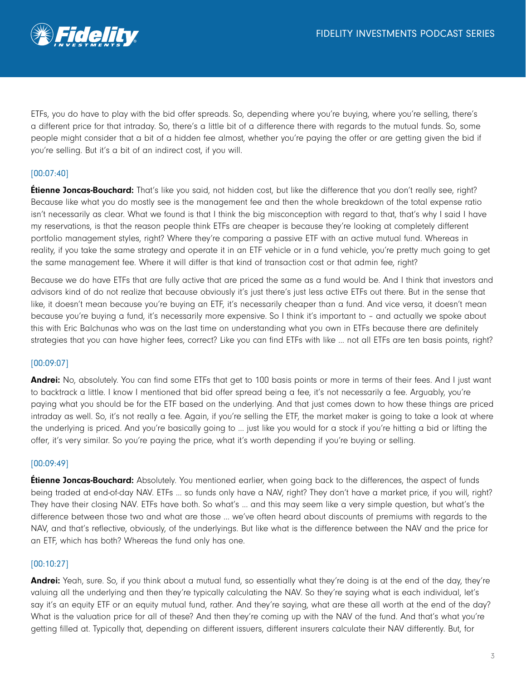

ETFs, you do have to play with the bid offer spreads. So, depending where you're buying, where you're selling, there's a different price for that intraday. So, there's a little bit of a difference there with regards to the mutual funds. So, some people might consider that a bit of a hidden fee almost, whether you're paying the offer or are getting given the bid if you're selling. But it's a bit of an indirect cost, if you will.

# [00:07:40]

**Étienne Joncas-Bouchard:** That's like you said, not hidden cost, but like the difference that you don't really see, right? Because like what you do mostly see is the management fee and then the whole breakdown of the total expense ratio isn't necessarily as clear. What we found is that I think the big misconception with regard to that, that's why I said I have my reservations, is that the reason people think ETFs are cheaper is because they're looking at completely different portfolio management styles, right? Where they're comparing a passive ETF with an active mutual fund. Whereas in reality, if you take the same strategy and operate it in an ETF vehicle or in a fund vehicle, you're pretty much going to get the same management fee. Where it will differ is that kind of transaction cost or that admin fee, right?

Because we do have ETFs that are fully active that are priced the same as a fund would be. And I think that investors and advisors kind of do not realize that because obviously it's just there's just less active ETFs out there. But in the sense that like, it doesn't mean because you're buying an ETF, it's necessarily cheaper than a fund. And vice versa, it doesn't mean because you're buying a fund, it's necessarily more expensive. So I think it's important to – and actually we spoke about this with Eric Balchunas who was on the last time on understanding what you own in ETFs because there are definitely strategies that you can have higher fees, correct? Like you can find ETFs with like … not all ETFs are ten basis points, right?

## [00:09:07]

Andrei: No, absolutely. You can find some ETFs that get to 100 basis points or more in terms of their fees. And I just want to backtrack a little. I know I mentioned that bid offer spread being a fee, it's not necessarily a fee. Arguably, you're paying what you should be for the ETF based on the underlying. And that just comes down to how these things are priced intraday as well. So, it's not really a fee. Again, if you're selling the ETF, the market maker is going to take a look at where the underlying is priced. And you're basically going to … just like you would for a stock if you're hitting a bid or lifting the offer, it's very similar. So you're paying the price, what it's worth depending if you're buying or selling.

## [00:09:49]

**Étienne Joncas-Bouchard:** Absolutely. You mentioned earlier, when going back to the differences, the aspect of funds being traded at end-of-day NAV. ETFs … so funds only have a NAV, right? They don't have a market price, if you will, right? They have their closing NAV. ETFs have both. So what's … and this may seem like a very simple question, but what's the difference between those two and what are those … we've often heard about discounts of premiums with regards to the NAV, and that's reflective, obviously, of the underlyings. But like what is the difference between the NAV and the price for an ETF, which has both? Whereas the fund only has one.

## [00:10:27]

Andrei: Yeah, sure. So, if you think about a mutual fund, so essentially what they're doing is at the end of the day, they're valuing all the underlying and then they're typically calculating the NAV. So they're saying what is each individual, let's say it's an equity ETF or an equity mutual fund, rather. And they're saying, what are these all worth at the end of the day? What is the valuation price for all of these? And then they're coming up with the NAV of the fund. And that's what you're getting filled at. Typically that, depending on different issuers, different insurers calculate their NAV differently. But, for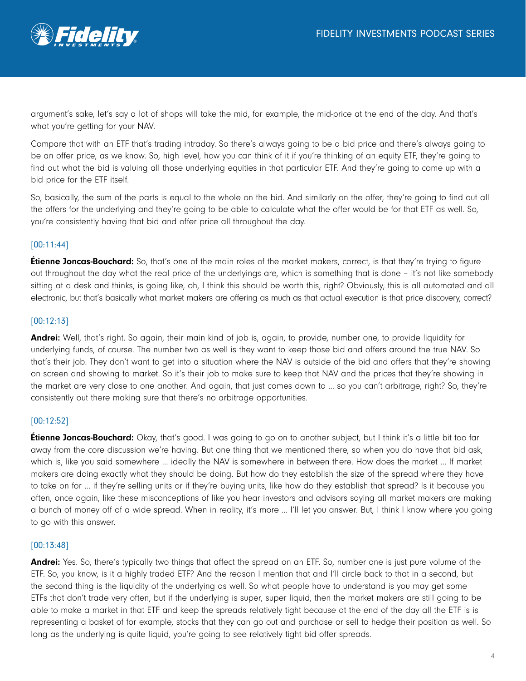

argument's sake, let's say a lot of shops will take the mid, for example, the mid-price at the end of the day. And that's what you're getting for your NAV.

Compare that with an ETF that's trading intraday. So there's always going to be a bid price and there's always going to be an offer price, as we know. So, high level, how you can think of it if you're thinking of an equity ETF, they're going to find out what the bid is valuing all those underlying equities in that particular ETF. And they're going to come up with a bid price for the ETF itself.

So, basically, the sum of the parts is equal to the whole on the bid. And similarly on the offer, they're going to find out all the offers for the underlying and they're going to be able to calculate what the offer would be for that ETF as well. So, you're consistently having that bid and offer price all throughout the day.

## [00:11:44]

**Étienne Joncas-Bouchard:** So, that's one of the main roles of the market makers, correct, is that they're trying to figure out throughout the day what the real price of the underlyings are, which is something that is done – it's not like somebody sitting at a desk and thinks, is going like, oh, I think this should be worth this, right? Obviously, this is all automated and all electronic, but that's basically what market makers are offering as much as that actual execution is that price discovery, correct?

## [00:12:13]

**Andrei:** Well, that's right. So again, their main kind of job is, again, to provide, number one, to provide liquidity for underlying funds, of course. The number two as well is they want to keep those bid and offers around the true NAV. So that's their job. They don't want to get into a situation where the NAV is outside of the bid and offers that they're showing on screen and showing to market. So it's their job to make sure to keep that NAV and the prices that they're showing in the market are very close to one another. And again, that just comes down to … so you can't arbitrage, right? So, they're consistently out there making sure that there's no arbitrage opportunities.

## [00:12:52]

**Étienne Joncas-Bouchard:** Okay, that's good. I was going to go on to another subject, but I think it's a little bit too far away from the core discussion we're having. But one thing that we mentioned there, so when you do have that bid ask, which is, like you said somewhere … ideally the NAV is somewhere in between there. How does the market … If market makers are doing exactly what they should be doing. But how do they establish the size of the spread where they have to take on for … if they're selling units or if they're buying units, like how do they establish that spread? Is it because you often, once again, like these misconceptions of like you hear investors and advisors saying all market makers are making a bunch of money off of a wide spread. When in reality, it's more … I'll let you answer. But, I think I know where you going to go with this answer.

#### [00:13:48]

Andrei: Yes. So, there's typically two things that affect the spread on an ETF. So, number one is just pure volume of the ETF. So, you know, is it a highly traded ETF? And the reason I mention that and I'll circle back to that in a second, but the second thing is the liquidity of the underlying as well. So what people have to understand is you may get some ETFs that don't trade very often, but if the underlying is super, super liquid, then the market makers are still going to be able to make a market in that ETF and keep the spreads relatively tight because at the end of the day all the ETF is is representing a basket of for example, stocks that they can go out and purchase or sell to hedge their position as well. So long as the underlying is quite liquid, you're going to see relatively tight bid offer spreads.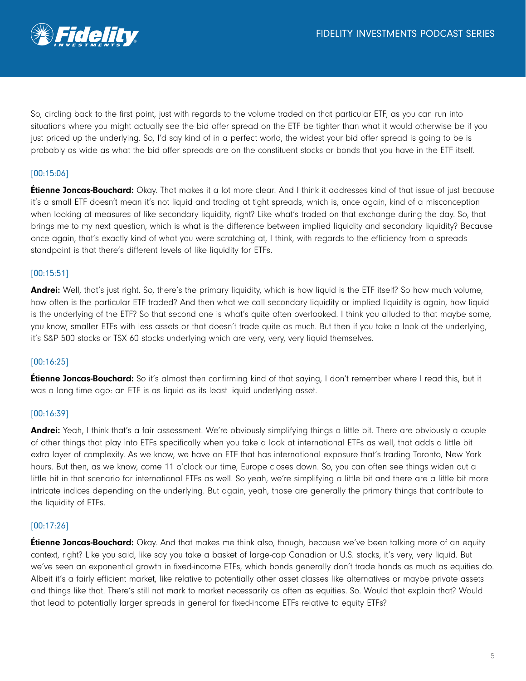

So, circling back to the first point, just with regards to the volume traded on that particular ETF, as you can run into situations where you might actually see the bid offer spread on the ETF be tighter than what it would otherwise be if you just priced up the underlying. So, I'd say kind of in a perfect world, the widest your bid offer spread is going to be is probably as wide as what the bid offer spreads are on the constituent stocks or bonds that you have in the ETF itself.

# [00:15:06]

**Étienne Joncas-Bouchard:** Okay. That makes it a lot more clear. And I think it addresses kind of that issue of just because it's a small ETF doesn't mean it's not liquid and trading at tight spreads, which is, once again, kind of a misconception when looking at measures of like secondary liquidity, right? Like what's traded on that exchange during the day. So, that brings me to my next question, which is what is the difference between implied liquidity and secondary liquidity? Because once again, that's exactly kind of what you were scratching at, I think, with regards to the efficiency from a spreads standpoint is that there's different levels of like liquidity for ETFs.

## [00:15:51]

Andrei: Well, that's just right. So, there's the primary liquidity, which is how liquid is the ETF itself? So how much volume, how often is the particular ETF traded? And then what we call secondary liquidity or implied liquidity is again, how liquid is the underlying of the ETF? So that second one is what's quite often overlooked. I think you alluded to that maybe some, you know, smaller ETFs with less assets or that doesn't trade quite as much. But then if you take a look at the underlying, it's S&P 500 stocks or TSX 60 stocks underlying which are very, very, very liquid themselves.

## [00:16:25]

**Étienne Joncas-Bouchard:** So it's almost then confirming kind of that saying, I don't remember where I read this, but it was a long time ago: an ETF is as liquid as its least liquid underlying asset.

## [00:16:39]

Andrei: Yeah, I think that's a fair assessment. We're obviously simplifying things a little bit. There are obviously a couple of other things that play into ETFs specifically when you take a look at international ETFs as well, that adds a little bit extra layer of complexity. As we know, we have an ETF that has international exposure that's trading Toronto, New York hours. But then, as we know, come 11 o'clock our time, Europe closes down. So, you can often see things widen out a little bit in that scenario for international ETFs as well. So yeah, we're simplifying a little bit and there are a little bit more intricate indices depending on the underlying. But again, yeah, those are generally the primary things that contribute to the liquidity of ETFs.

## [00:17:26]

**Étienne Joncas-Bouchard:** Okay. And that makes me think also, though, because we've been talking more of an equity context, right? Like you said, like say you take a basket of large-cap Canadian or U.S. stocks, it's very, very liquid. But we've seen an exponential growth in fixed-income ETFs, which bonds generally don't trade hands as much as equities do. Albeit it's a fairly efficient market, like relative to potentially other asset classes like alternatives or maybe private assets and things like that. There's still not mark to market necessarily as often as equities. So. Would that explain that? Would that lead to potentially larger spreads in general for fixed-income ETFs relative to equity ETFs?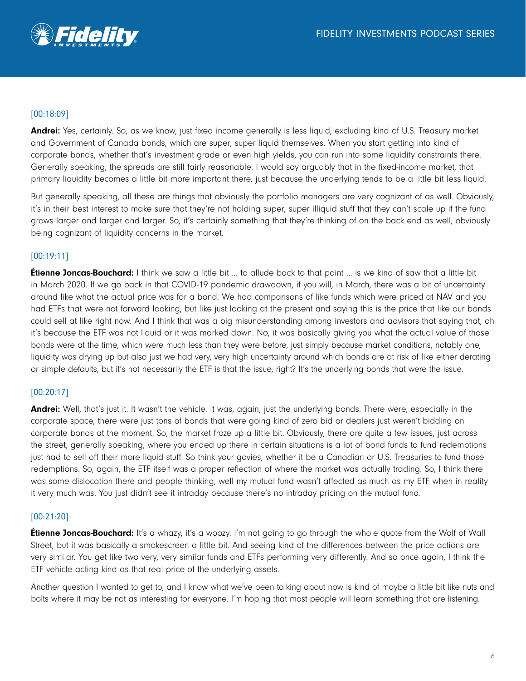

# [00:18:09]

Andrei: Yes, certainly. So, as we know, just fixed income generally is less liquid, excluding kind of U.S. Treasury market and Government of Canada bonds, which are super, super liquid themselves. When you start getting into kind of corporate bonds, whether that's investment grade or even high yields, you can run into some liquidity constraints there. Generally speaking, the spreads are still fairly reasonable. I would say arguably that in the fixed-income market, that primary liquidity becomes a little bit more important there, just because the underlying tends to be a little bit less liquid.

But generally speaking, all these are things that obviously the portfolio managers are very cognizant of as well. Obviously, it's in their best interest to make sure that they're not holding super, super illiquid stuff that they can't scale up if the fund grows larger and larger and larger. So, it's certainly something that they're thinking of on the back end as well, obviously being cognizant of liquidity concerns in the market.

## [00:19:11]

**Étienne Joncas-Bouchard:** I think we saw a little bit ... to allude back to that point ... is we kind of saw that a little bit in March 2020. If we go back in that COVID-19 pandemic drawdown, if you will, in March, there was a bit of uncertainty around like what the actual price was for a bond. We had comparisons of like funds which were priced at NAV and you had ETFs that were not forward looking, but like just looking at the present and saying this is the price that like our bonds could sell at like right now. And I think that was a big misunderstanding among investors and advisors that saying that, oh it's because the ETF was not liquid or it was marked down. No, it was basically giving you what the actual value of those bonds were at the time, which were much less than they were before, just simply because market conditions, notably one, liquidity was drying up but also just we had very, very high uncertainty around which bonds are at risk of like either derating or simple defaults, but it's not necessarily the ETF is that the issue, right? It's the underlying bonds that were the issue.

## [00:20:17]

Andrei: Well, that's just it. It wasn't the vehicle. It was, again, just the underlying bonds. There were, especially in the corporate space, there were just tons of bonds that were going kind of zero bid or dealers just weren't bidding on corporate bonds at the moment. So, the market froze up a little bit. Obviously, there are quite a few issues, just across the street, generally speaking, where you ended up there in certain situations is a lot of bond funds to fund redemptions just had to sell off their more liquid stuff. So think your govies, whether it be a Canadian or U.S. Treasuries to fund those redemptions. So, again, the ETF itself was a proper reflection of where the market was actually trading. So, I think there was some dislocation there and people thinking, well my mutual fund wasn't affected as much as my ETF when in reality it very much was. You just didn't see it intraday because there's no intraday pricing on the mutual fund.

## [00:21:20]

**Étienne Joncas-Bouchard:** It's a whazy, it's a woozy. I'm not going to go through the whole quote from the Wolf of Wall Street, but it was basically a smokescreen a little bit. And seeing kind of the differences between the price actions are very similar. You get like two very, very similar funds and ETFs performing very differently. And so once again, I think the ETF vehicle acting kind as that real price of the underlying assets.

Another question I wanted to get to, and I know what we've been talking about now is kind of maybe a little bit like nuts and bolts where it may be not as interesting for everyone. I'm hoping that most people will learn something that are listening.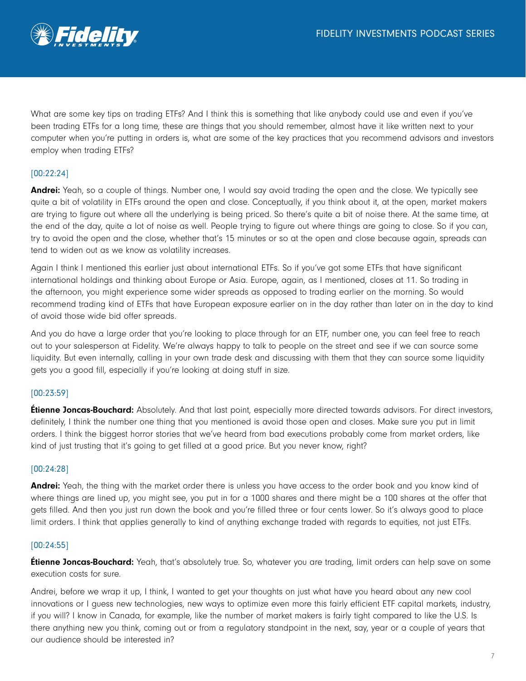

What are some key tips on trading ETFs? And I think this is something that like anybody could use and even if you've been trading ETFs for a long time, these are things that you should remember, almost have it like written next to your computer when you're putting in orders is, what are some of the key practices that you recommend advisors and investors employ when trading ETFs?

# [00:22:24]

**Andrei:** Yeah, so a couple of things. Number one, I would say avoid trading the open and the close. We typically see quite a bit of volatility in ETFs around the open and close. Conceptually, if you think about it, at the open, market makers are trying to figure out where all the underlying is being priced. So there's quite a bit of noise there. At the same time, at the end of the day, quite a lot of noise as well. People trying to figure out where things are going to close. So if you can, try to avoid the open and the close, whether that's 15 minutes or so at the open and close because again, spreads can tend to widen out as we know as volatility increases.

Again I think I mentioned this earlier just about international ETFs. So if you've got some ETFs that have significant international holdings and thinking about Europe or Asia. Europe, again, as I mentioned, closes at 11. So trading in the afternoon, you might experience some wider spreads as opposed to trading earlier on the morning. So would recommend trading kind of ETFs that have European exposure earlier on in the day rather than later on in the day to kind of avoid those wide bid offer spreads.

And you do have a large order that you're looking to place through for an ETF, number one, you can feel free to reach out to your salesperson at Fidelity. We're always happy to talk to people on the street and see if we can source some liquidity. But even internally, calling in your own trade desk and discussing with them that they can source some liquidity gets you a good fill, especially if you're looking at doing stuff in size.

# [00:23:59]

**Étienne Joncas-Bouchard:** Absolutely. And that last point, especially more directed towards advisors. For direct investors, definitely, I think the number one thing that you mentioned is avoid those open and closes. Make sure you put in limit orders. I think the biggest horror stories that we've heard from bad executions probably come from market orders, like kind of just trusting that it's going to get filled at a good price. But you never know, right?

## [00:24:28]

Andrei: Yeah, the thing with the market order there is unless you have access to the order book and you know kind of where things are lined up, you might see, you put in for a 1000 shares and there might be a 100 shares at the offer that gets filled. And then you just run down the book and you're filled three or four cents lower. So it's always good to place limit orders. I think that applies generally to kind of anything exchange traded with regards to equities, not just ETFs.

## [00:24:55]

**Étienne Joncas-Bouchard:** Yeah, that's absolutely true. So, whatever you are trading, limit orders can help save on some execution costs for sure.

Andrei, before we wrap it up, I think, I wanted to get your thoughts on just what have you heard about any new cool innovations or I guess new technologies, new ways to optimize even more this fairly efficient ETF capital markets, industry, if you will? I know in Canada, for example, like the number of market makers is fairly tight compared to like the U.S. Is there anything new you think, coming out or from a regulatory standpoint in the next, say, year or a couple of years that our audience should be interested in?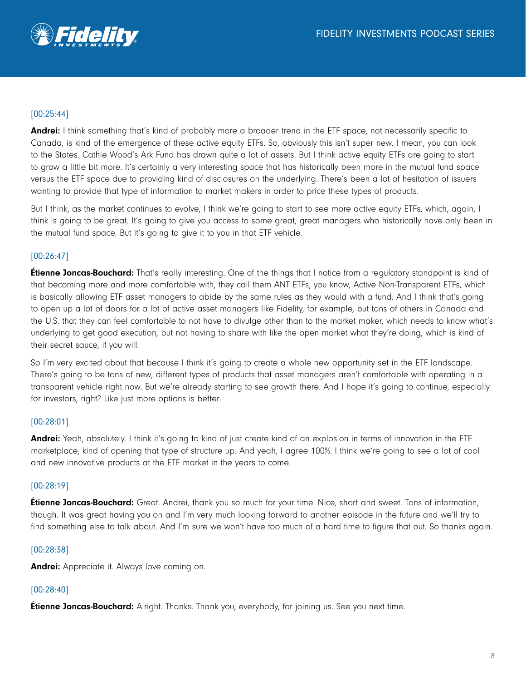

# [00:25:44]

Andrei: I think something that's kind of probably more a broader trend in the ETF space, not necessarily specific to Canada, is kind of the emergence of these active equity ETFs. So, obviously this isn't super new. I mean, you can look to the States. Cathie Wood's Ark Fund has drawn quite a lot of assets. But I think active equity ETFs are going to start to grow a little bit more. It's certainly a very interesting space that has historically been more in the mutual fund space versus the ETF space due to providing kind of disclosures on the underlying. There's been a lot of hesitation of issuers wanting to provide that type of information to market makers in order to price these types of products.

But I think, as the market continues to evolve, I think we're going to start to see more active equity ETFs, which, again, I think is going to be great. It's going to give you access to some great, great managers who historically have only been in the mutual fund space. But it's going to give it to you in that ETF vehicle.

## [00:26:47]

**Étienne Joncas-Bouchard:** That's really interesting. One of the things that I notice from a regulatory standpoint is kind of that becoming more and more comfortable with, they call them ANT ETFs, you know, Active Non-Transparent ETFs, which is basically allowing ETF asset managers to abide by the same rules as they would with a fund. And I think that's going to open up a lot of doors for a lot of active asset managers like Fidelity, for example, but tons of others in Canada and the U.S. that they can feel comfortable to not have to divulge other than to the market maker, which needs to know what's underlying to get good execution, but not having to share with like the open market what they're doing, which is kind of their secret sauce, if you will.

So I'm very excited about that because I think it's going to create a whole new opportunity set in the ETF landscape. There's going to be tons of new, different types of products that asset managers aren't comfortable with operating in a transparent vehicle right now. But we're already starting to see growth there. And I hope it's going to continue, especially for investors, right? Like just more options is better.

## [00:28:01]

Andrei: Yeah, absolutely. I think it's going to kind of just create kind of an explosion in terms of innovation in the ETF marketplace, kind of opening that type of structure up. And yeah, I agree 100%. I think we're going to see a lot of cool and new innovative products at the ETF market in the years to come.

#### [00:28:19]

**Étienne Joncas-Bouchard:** Great. Andrei, thank you so much for your time. Nice, short and sweet. Tons of information, though. It was great having you on and I'm very much looking forward to another episode in the future and we'll try to find something else to talk about. And I'm sure we won't have too much of a hard time to figure that out. So thanks again.

#### [00:28:38]

Andrei: Appreciate it. Always love coming on.

## [00:28:40]

**Étienne Joncas-Bouchard:** Alright. Thanks. Thank you, everybody, for joining us. See you next time.